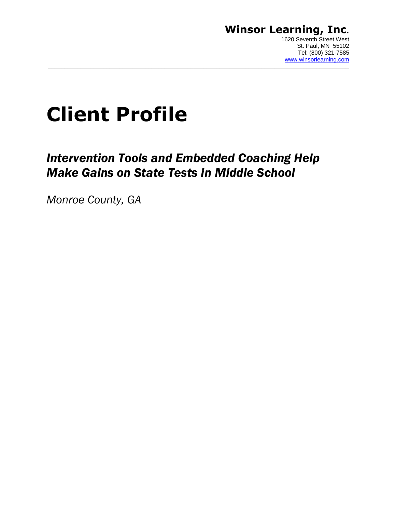### **Winsor Learning, Inc**. 1620 Seventh Street West

# **Client Profile**

## *Intervention Tools and Embedded Coaching Help Make Gains on State Tests in Middle School*

 $\_$  ,  $\_$  ,  $\_$  ,  $\_$  ,  $\_$  ,  $\_$  ,  $\_$  ,  $\_$  ,  $\_$  ,  $\_$  ,  $\_$  ,  $\_$  ,  $\_$  ,  $\_$  ,  $\_$  ,  $\_$  ,  $\_$  ,  $\_$  ,  $\_$  ,  $\_$  ,  $\_$  ,  $\_$  ,  $\_$  ,  $\_$  ,  $\_$  ,  $\_$  ,  $\_$  ,  $\_$  ,  $\_$  ,  $\_$  ,  $\_$  ,  $\_$  ,  $\_$  ,  $\_$  ,  $\_$  ,  $\_$  ,  $\_$  ,

*Monroe County, GA*